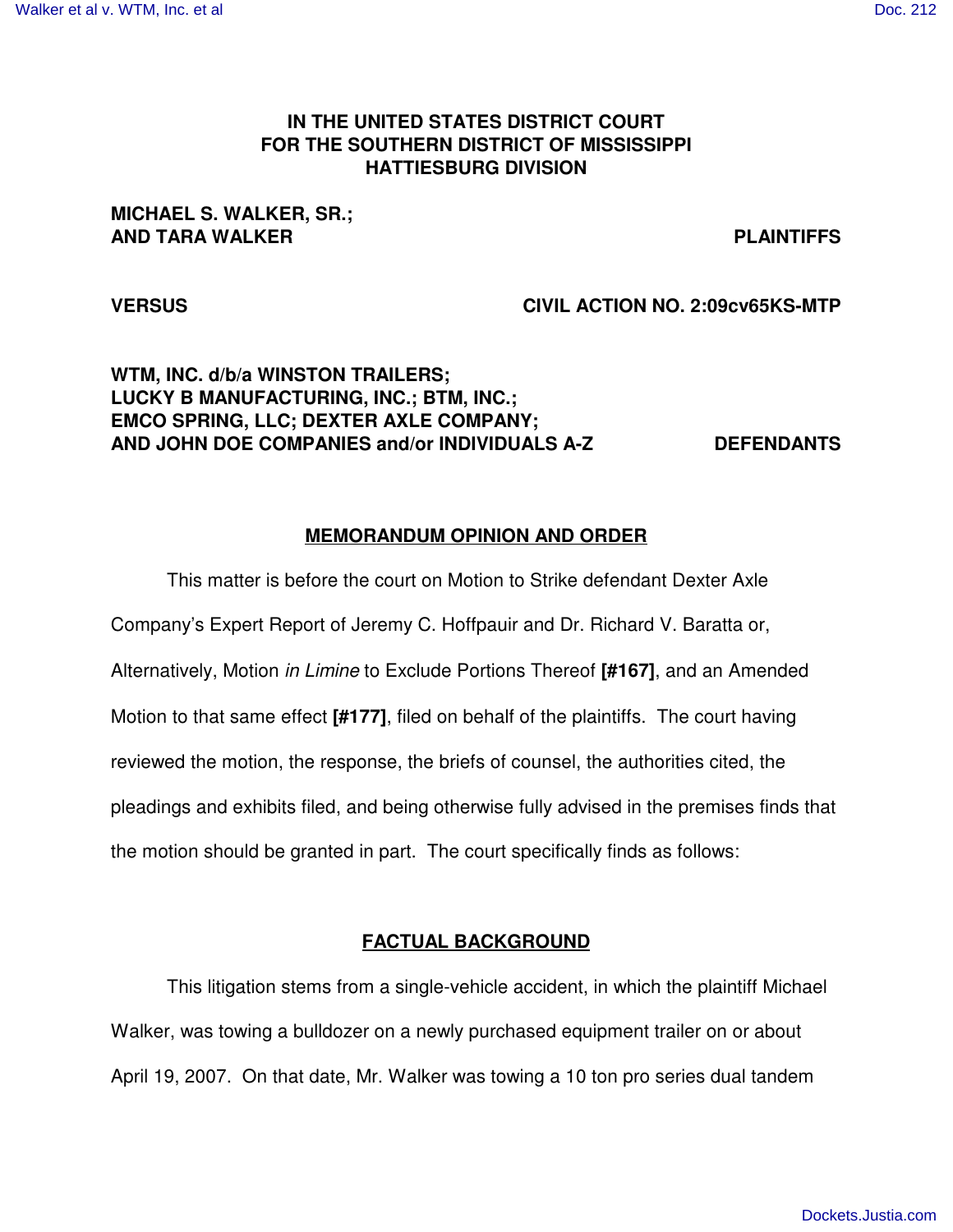## **IN THE UNITED STATES DISTRICT COURT FOR THE SOUTHERN DISTRICT OF MISSISSIPPI HATTIESBURG DIVISION**

#### **MICHAEL S. WALKER, SR.; AND TARA WALKER PLAINTIFFS**

**VERSUS CIVIL ACTION NO. 2:09cv65KS-MTP**

# **WTM, INC. d/b/a WINSTON TRAILERS; LUCKY B MANUFACTURING, INC.; BTM, INC.; EMCO SPRING, LLC; DEXTER AXLE COMPANY; AND JOHN DOE COMPANIES and/or INDIVIDUALS A-Z DEFENDANTS**

# **MEMORANDUM OPINION AND ORDER**

This matter is before the court on Motion to Strike defendant Dexter Axle Company's Expert Report of Jeremy C. Hoffpauir and Dr. Richard V. Baratta or, Alternatively, Motion *in Limine* to Exclude Portions Thereof **[#167]**, and an Amended Motion to that same effect **[#177]**, filed on behalf of the plaintiffs. The court having reviewed the motion, the response, the briefs of counsel, the authorities cited, the pleadings and exhibits filed, and being otherwise fully advised in the premises finds that the motion should be granted in part. The court specifically finds as follows:

# **FACTUAL BACKGROUND**

This litigation stems from a single-vehicle accident, in which the plaintiff Michael Walker, was towing a bulldozer on a newly purchased equipment trailer on or about April 19, 2007. On that date, Mr. Walker was towing a 10 ton pro series dual tandem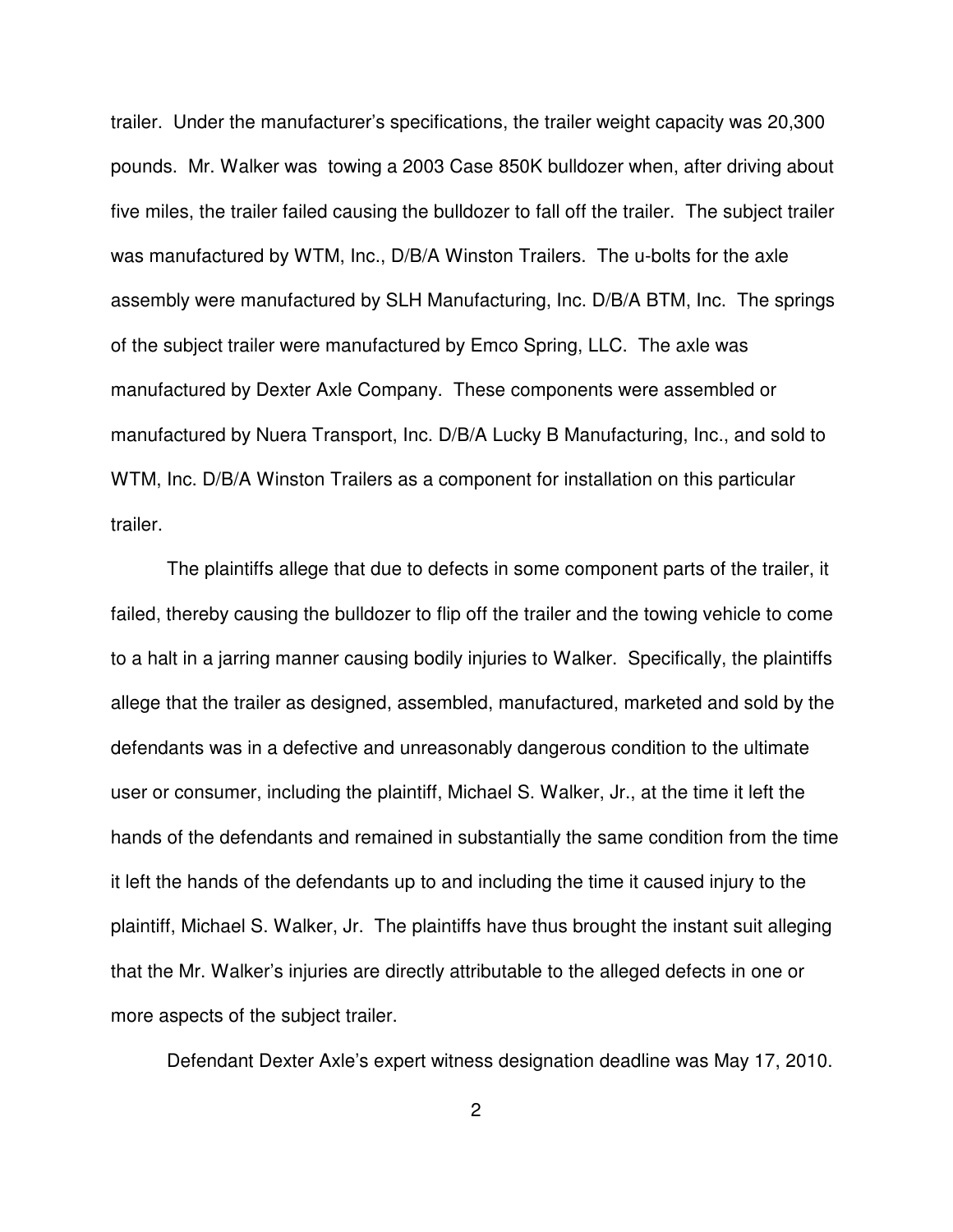trailer. Under the manufacturer's specifications, the trailer weight capacity was 20,300 pounds. Mr. Walker was towing a 2003 Case 850K bulldozer when, after driving about five miles, the trailer failed causing the bulldozer to fall off the trailer. The subject trailer was manufactured by WTM, Inc., D/B/A Winston Trailers. The u-bolts for the axle assembly were manufactured by SLH Manufacturing, Inc. D/B/A BTM, Inc. The springs of the subject trailer were manufactured by Emco Spring, LLC. The axle was manufactured by Dexter Axle Company. These components were assembled or manufactured by Nuera Transport, Inc. D/B/A Lucky B Manufacturing, Inc., and sold to WTM, Inc. D/B/A Winston Trailers as a component for installation on this particular trailer.

The plaintiffs allege that due to defects in some component parts of the trailer, it failed, thereby causing the bulldozer to flip off the trailer and the towing vehicle to come to a halt in a jarring manner causing bodily injuries to Walker. Specifically, the plaintiffs allege that the trailer as designed, assembled, manufactured, marketed and sold by the defendants was in a defective and unreasonably dangerous condition to the ultimate user or consumer, including the plaintiff, Michael S. Walker, Jr., at the time it left the hands of the defendants and remained in substantially the same condition from the time it left the hands of the defendants up to and including the time it caused injury to the plaintiff, Michael S. Walker, Jr. The plaintiffs have thus brought the instant suit alleging that the Mr. Walker's injuries are directly attributable to the alleged defects in one or more aspects of the subject trailer.

Defendant Dexter Axle's expert witness designation deadline was May 17, 2010.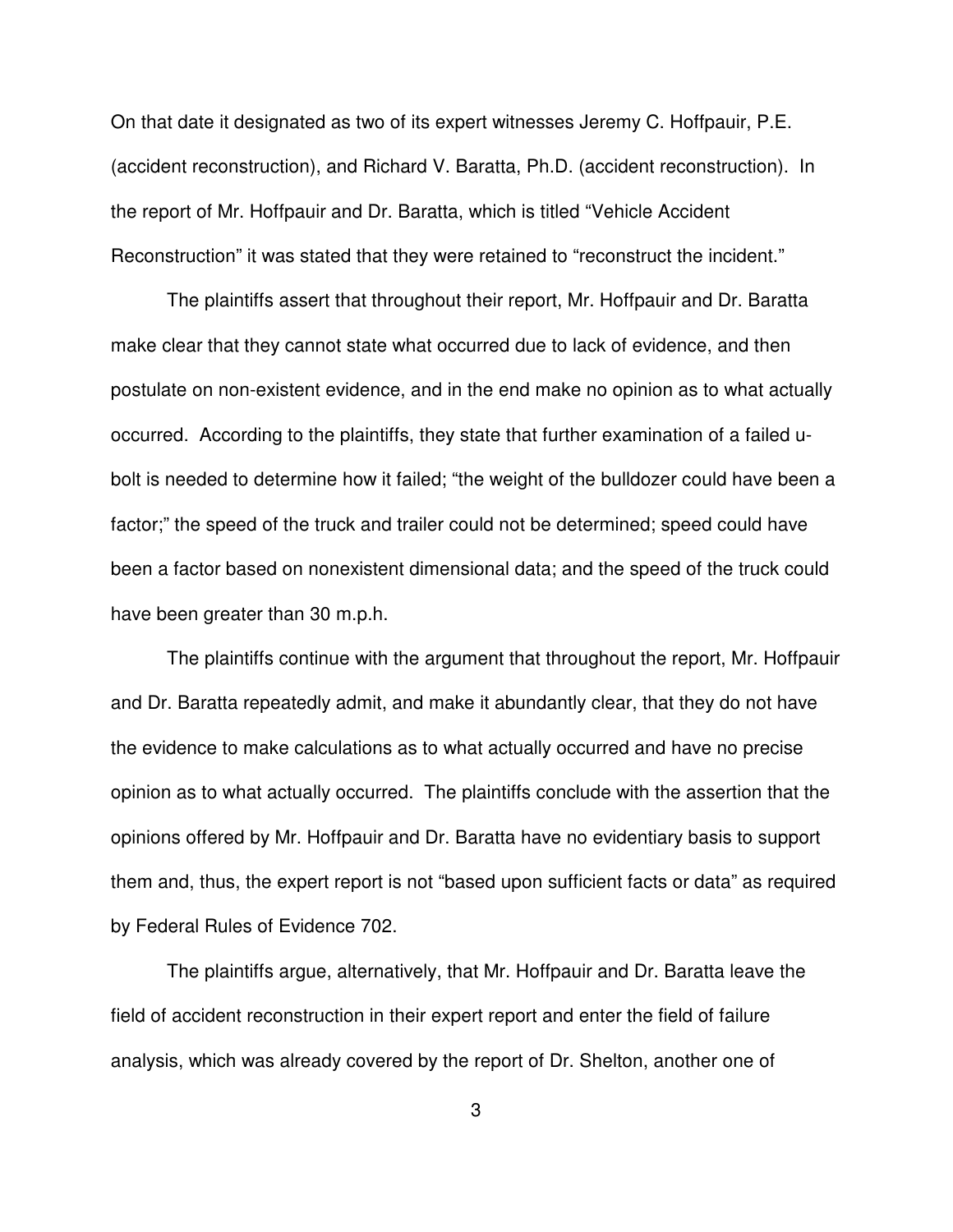On that date it designated as two of its expert witnesses Jeremy C. Hoffpauir, P.E. (accident reconstruction), and Richard V. Baratta, Ph.D. (accident reconstruction). In the report of Mr. Hoffpauir and Dr. Baratta, which is titled "Vehicle Accident Reconstruction" it was stated that they were retained to "reconstruct the incident."

The plaintiffs assert that throughout their report, Mr. Hoffpauir and Dr. Baratta make clear that they cannot state what occurred due to lack of evidence, and then postulate on non-existent evidence, and in the end make no opinion as to what actually occurred. According to the plaintiffs, they state that further examination of a failed ubolt is needed to determine how it failed; "the weight of the bulldozer could have been a factor;" the speed of the truck and trailer could not be determined; speed could have been a factor based on nonexistent dimensional data; and the speed of the truck could have been greater than 30 m.p.h.

The plaintiffs continue with the argument that throughout the report, Mr. Hoffpauir and Dr. Baratta repeatedly admit, and make it abundantly clear, that they do not have the evidence to make calculations as to what actually occurred and have no precise opinion as to what actually occurred. The plaintiffs conclude with the assertion that the opinions offered by Mr. Hoffpauir and Dr. Baratta have no evidentiary basis to support them and, thus, the expert report is not "based upon sufficient facts or data" as required by Federal Rules of Evidence 702.

The plaintiffs argue, alternatively, that Mr. Hoffpauir and Dr. Baratta leave the field of accident reconstruction in their expert report and enter the field of failure analysis, which was already covered by the report of Dr. Shelton, another one of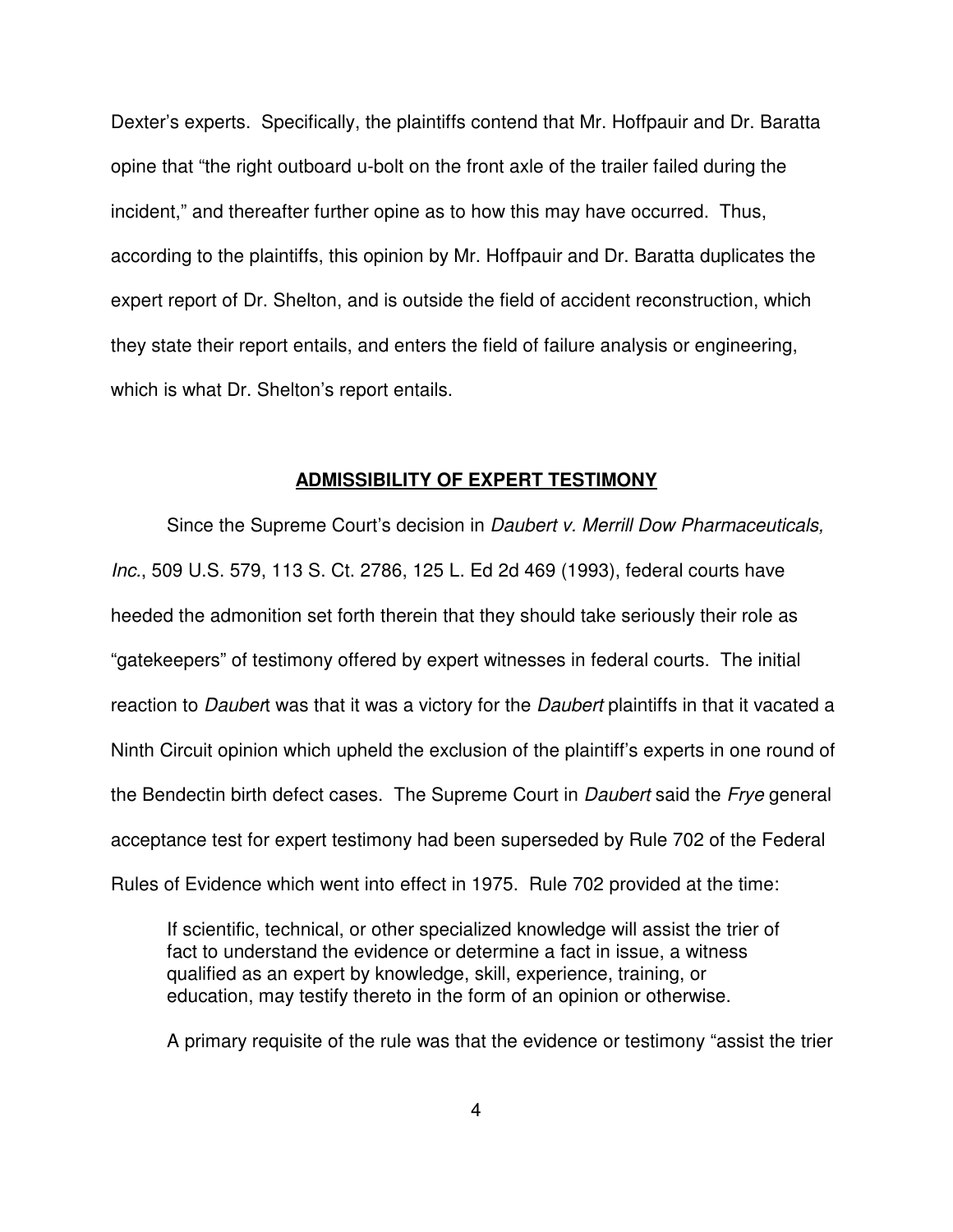Dexter's experts. Specifically, the plaintiffs contend that Mr. Hoffpauir and Dr. Baratta opine that "the right outboard u-bolt on the front axle of the trailer failed during the incident," and thereafter further opine as to how this may have occurred. Thus, according to the plaintiffs, this opinion by Mr. Hoffpauir and Dr. Baratta duplicates the expert report of Dr. Shelton, and is outside the field of accident reconstruction, which they state their report entails, and enters the field of failure analysis or engineering, which is what Dr. Shelton's report entails.

#### **ADMISSIBILITY OF EXPERT TESTIMONY**

Since the Supreme Court's decision in *Daubert v. Merrill Dow Pharmaceuticals, Inc.*, 509 U.S. 579, 113 S. Ct. 2786, 125 L. Ed 2d 469 (1993), federal courts have heeded the admonition set forth therein that they should take seriously their role as "gatekeepers" of testimony offered by expert witnesses in federal courts. The initial reaction to *Dauber*t was that it was a victory for the *Daubert* plaintiffs in that it vacated a Ninth Circuit opinion which upheld the exclusion of the plaintiff's experts in one round of the Bendectin birth defect cases. The Supreme Court in *Daubert* said the *Frye* general acceptance test for expert testimony had been superseded by Rule 702 of the Federal Rules of Evidence which went into effect in 1975. Rule 702 provided at the time:

If scientific, technical, or other specialized knowledge will assist the trier of fact to understand the evidence or determine a fact in issue, a witness qualified as an expert by knowledge, skill, experience, training, or education, may testify thereto in the form of an opinion or otherwise.

A primary requisite of the rule was that the evidence or testimony "assist the trier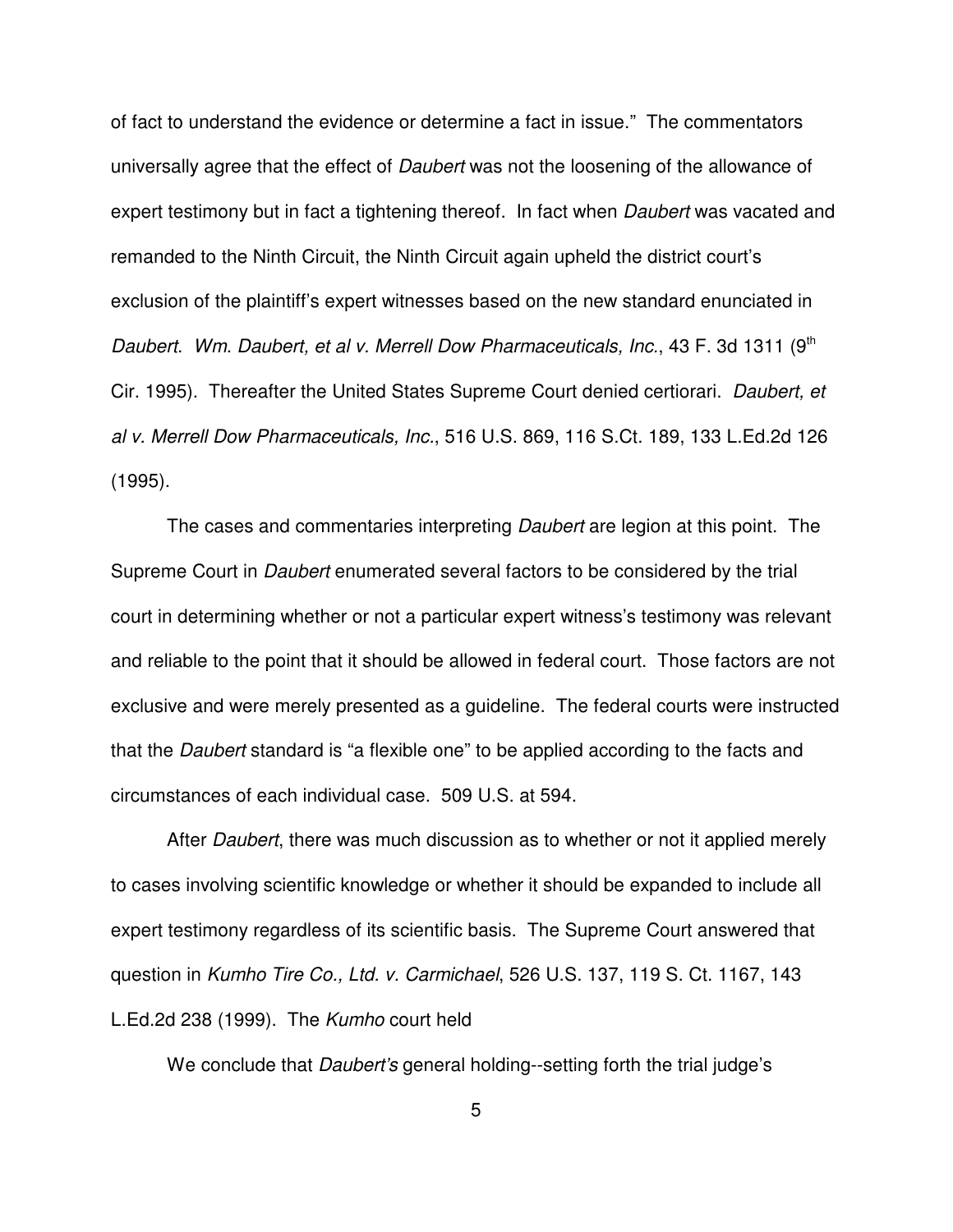of fact to understand the evidence or determine a fact in issue." The commentators universally agree that the effect of *Daubert* was not the loosening of the allowance of expert testimony but in fact a tightening thereof. In fact when *Daubert* was vacated and remanded to the Ninth Circuit, the Ninth Circuit again upheld the district court's exclusion of the plaintiff's expert witnesses based on the new standard enunciated in *Daubert*. *Wm. Daubert, et al v. Merrell Dow Pharmaceuticals, Inc.*, 43 F. 3d 1311 (9 th Cir. 1995). Thereafter the United States Supreme Court denied certiorari. *Daubert, et al v. Merrell Dow Pharmaceuticals, Inc.*, 516 U.S. 869, 116 S.Ct. 189, 133 L.Ed.2d 126 (1995).

The cases and commentaries interpreting *Daubert* are legion at this point. The Supreme Court in *Daubert* enumerated several factors to be considered by the trial court in determining whether or not a particular expert witness's testimony was relevant and reliable to the point that it should be allowed in federal court. Those factors are not exclusive and were merely presented as a guideline. The federal courts were instructed that the *Daubert* standard is "a flexible one" to be applied according to the facts and circumstances of each individual case. 509 U.S. at 594.

After *Daubert*, there was much discussion as to whether or not it applied merely to cases involving scientific knowledge or whether it should be expanded to include all expert testimony regardless of its scientific basis. The Supreme Court answered that question in *Kumho Tire Co., Ltd. v. Carmichael*, 526 U.S. 137, 119 S. Ct. 1167, 143 L.Ed.2d 238 (1999). The *Kumho* court held

We conclude that *Daubert's* general holding--setting forth the trial judge's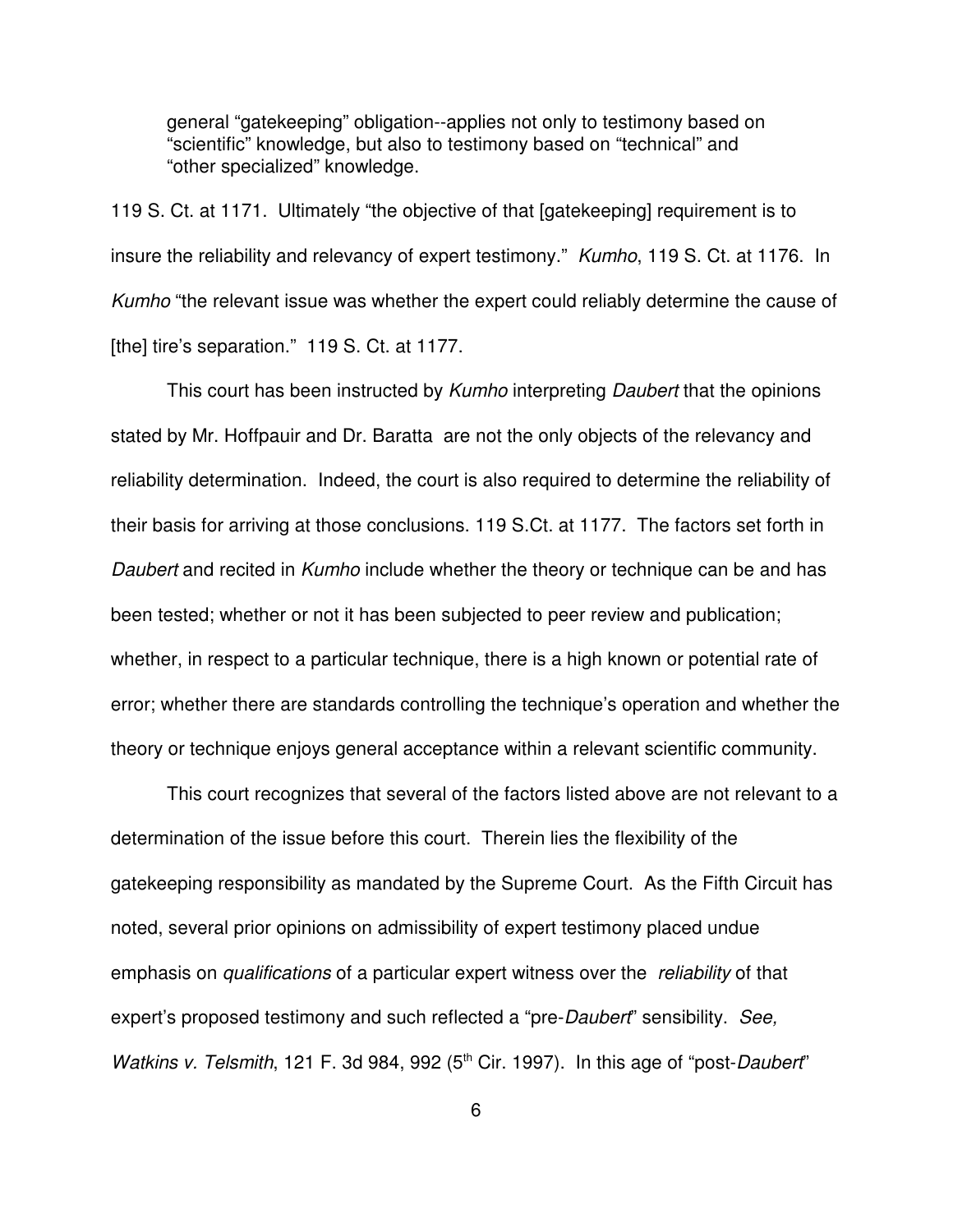general "gatekeeping" obligation--applies not only to testimony based on "scientific" knowledge, but also to testimony based on "technical" and "other specialized" knowledge.

119 S. Ct. at 1171. Ultimately "the objective of that [gatekeeping] requirement is to insure the reliability and relevancy of expert testimony." *Kumho*, 119 S. Ct. at 1176. In *Kumho* "the relevant issue was whether the expert could reliably determine the cause of [the] tire's separation." 119 S. Ct. at 1177.

This court has been instructed by *Kumho* interpreting *Daubert* that the opinions stated by Mr. Hoffpauir and Dr. Baratta are not the only objects of the relevancy and reliability determination. Indeed, the court is also required to determine the reliability of their basis for arriving at those conclusions. 119 S.Ct. at 1177. The factors set forth in *Daubert* and recited in *Kumho* include whether the theory or technique can be and has been tested; whether or not it has been subjected to peer review and publication; whether, in respect to a particular technique, there is a high known or potential rate of error; whether there are standards controlling the technique's operation and whether the theory or technique enjoys general acceptance within a relevant scientific community.

This court recognizes that several of the factors listed above are not relevant to a determination of the issue before this court. Therein lies the flexibility of the gatekeeping responsibility as mandated by the Supreme Court. As the Fifth Circuit has noted, several prior opinions on admissibility of expert testimony placed undue emphasis on *qualifications* of a particular expert witness over the *reliability* of that expert's proposed testimony and such reflected a "pre-*Daubert*" sensibility. *See,* Watkins v. Telsmith, 121 F. 3d 984, 992 (5<sup>th</sup> Cir. 1997). In this age of "post-Daubert"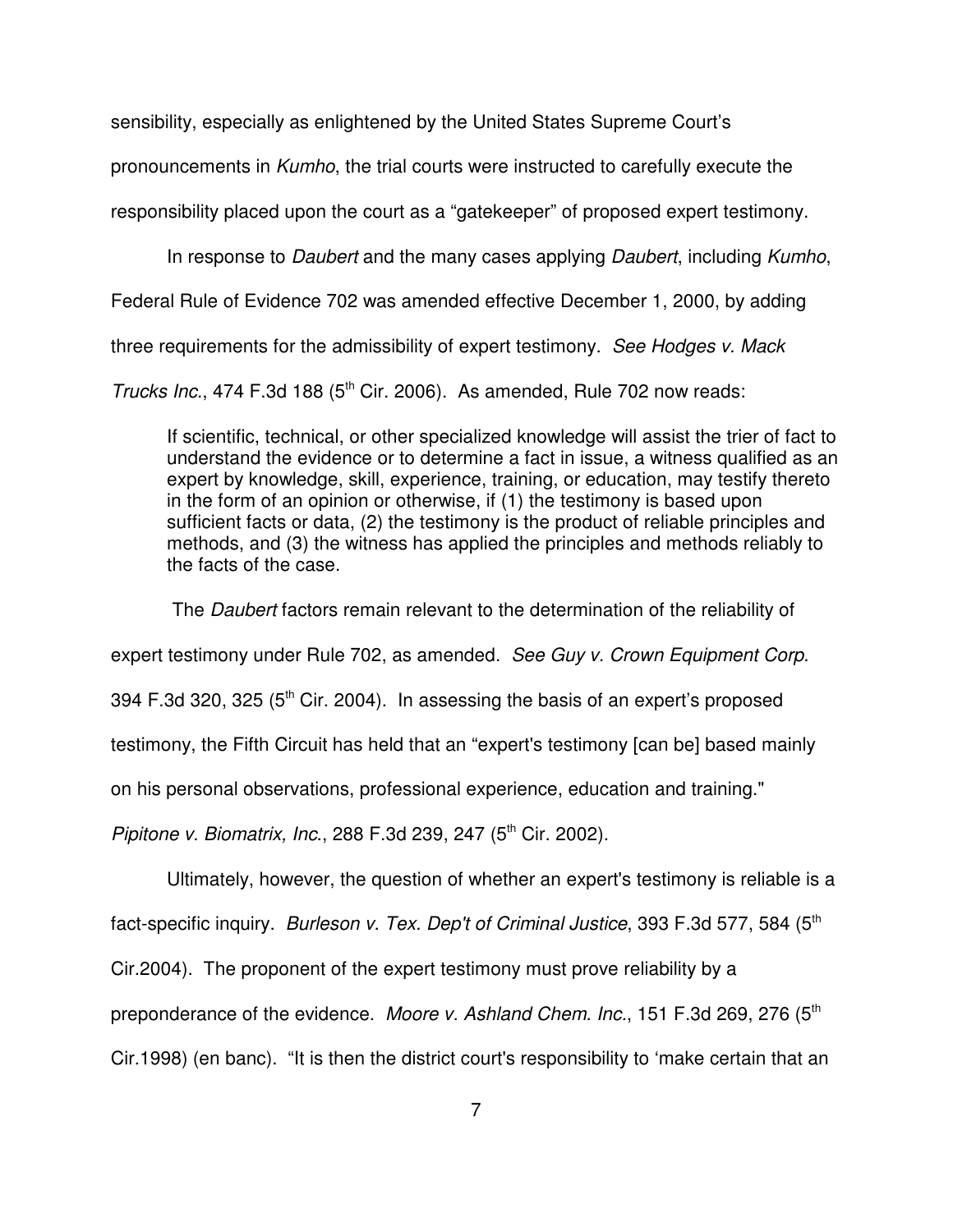sensibility, especially as enlightened by the United States Supreme Court's

pronouncements in *Kumho*, the trial courts were instructed to carefully execute the

responsibility placed upon the court as a "gatekeeper" of proposed expert testimony.

In response to *Daubert* and the many cases applying *Daubert*, including *Kumho*,

Federal Rule of Evidence 702 was amended effective December 1, 2000, by adding

three requirements for the admissibility of expert testimony. *See Hodges v. Mack*

*Trucks Inc.*, 474 F.3d 188 (5 th Cir. 2006). As amended, Rule 702 now reads:

If scientific, technical, or other specialized knowledge will assist the trier of fact to understand the evidence or to determine a fact in issue, a witness qualified as an expert by knowledge, skill, experience, training, or education, may testify thereto in the form of an opinion or otherwise, if (1) the testimony is based upon sufficient facts or data, (2) the testimony is the product of reliable principles and methods, and (3) the witness has applied the principles and methods reliably to the facts of the case.

The *Daubert* factors remain relevant to the determination of the reliability of expert testimony under Rule 702, as amended. *See Guy v. Crown Equipment Corp*. 394 F.3d 320, 325 (5<sup>th</sup> Cir. 2004). In assessing the basis of an expert's proposed testimony, the Fifth Circuit has held that an "expert's testimony [can be] based mainly on his personal observations, professional experience, education and training."

*Pipitone v. Biomatrix, Inc*., 288 F.3d 239, 247 (5 th Cir. 2002).

Ultimately, however, the question of whether an expert's testimony is reliable is a

fact-specific inquiry. *Burleson v. Tex. Dep't of Criminal Justice*, 393 F.3d 577, 584 (5 th

Cir.2004). The proponent of the expert testimony must prove reliability by a

preponderance of the evidence. *Moore v. Ashland Chem. Inc.*, 151 F.3d 269, 276 (5 th

Cir.1998) (en banc). "It is then the district court's responsibility to 'make certain that an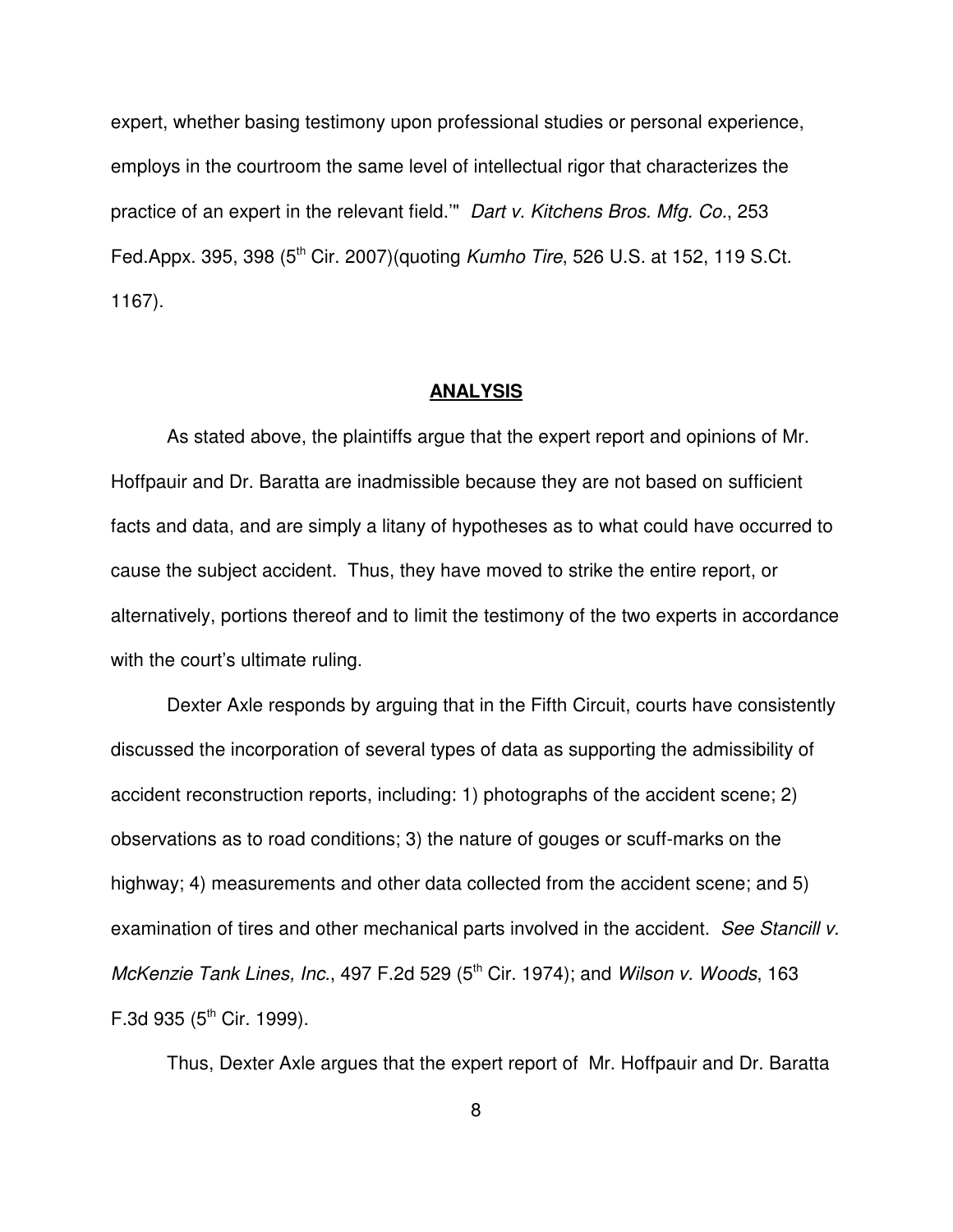expert, whether basing testimony upon professional studies or personal experience, employs in the courtroom the same level of intellectual rigor that characterizes the practice of an expert in the relevant field.'" *Dart v. Kitchens Bros. Mfg. Co.*, 253 Fed.Appx. 395, 398 (5<sup>th</sup> Cir. 2007)(quoting *Kumho Tire*, 526 U.S. at 152, 119 S.Ct. 1167).

#### **ANALYSIS**

As stated above, the plaintiffs argue that the expert report and opinions of Mr. Hoffpauir and Dr. Baratta are inadmissible because they are not based on sufficient facts and data, and are simply a litany of hypotheses as to what could have occurred to cause the subject accident. Thus, they have moved to strike the entire report, or alternatively, portions thereof and to limit the testimony of the two experts in accordance with the court's ultimate ruling.

Dexter Axle responds by arguing that in the Fifth Circuit, courts have consistently discussed the incorporation of several types of data as supporting the admissibility of accident reconstruction reports, including: 1) photographs of the accident scene; 2) observations as to road conditions; 3) the nature of gouges or scuff-marks on the highway; 4) measurements and other data collected from the accident scene; and 5) examination of tires and other mechanical parts involved in the accident. *See Stancill v. McKenzie Tank Lines, Inc.*, 497 F.2d 529 (5 th Cir. 1974); and *Wilson v. Woods*, 163 F.3d 935 ( $5<sup>th</sup>$  Cir. 1999).

Thus, Dexter Axle argues that the expert report of Mr. Hoffpauir and Dr. Baratta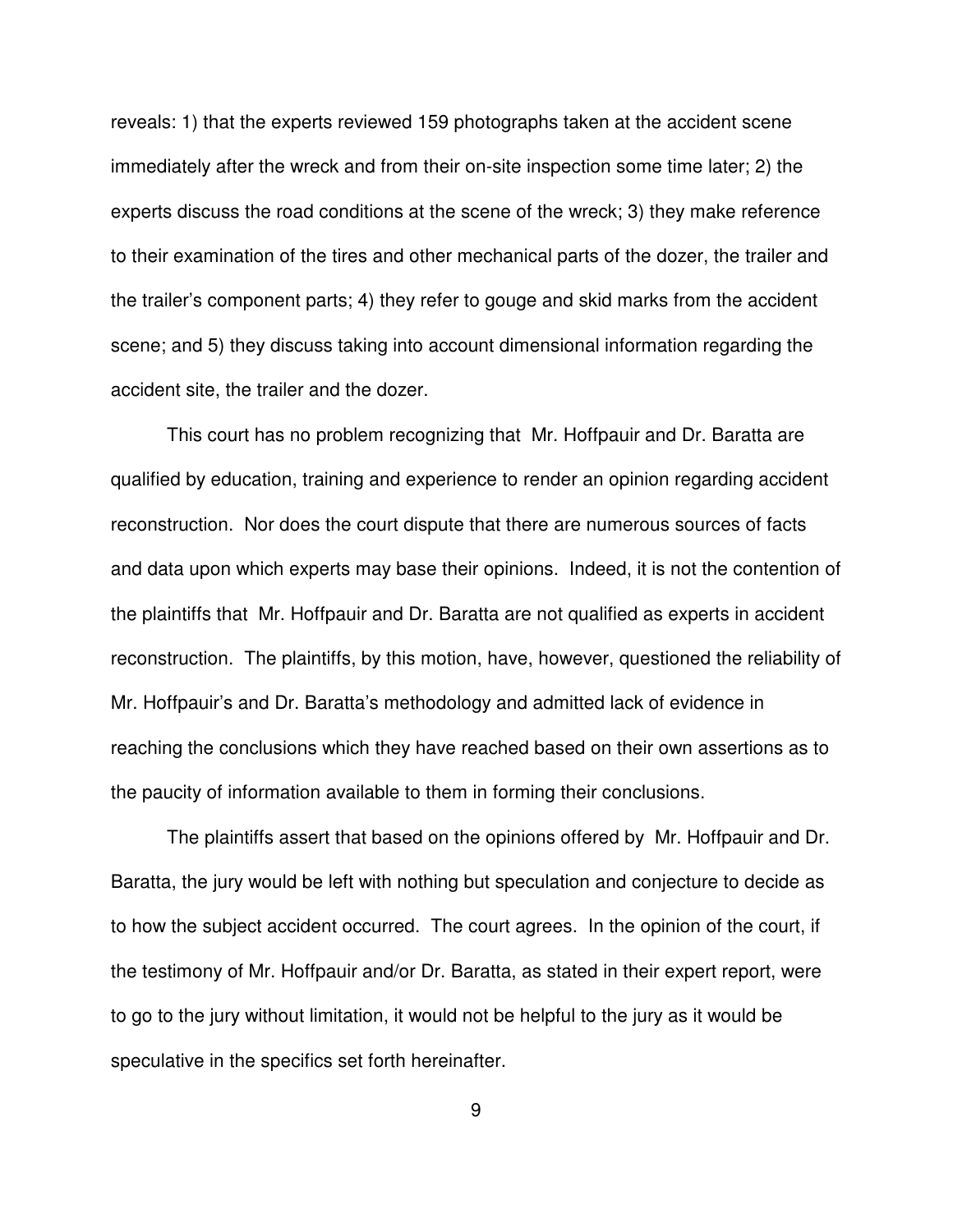reveals: 1) that the experts reviewed 159 photographs taken at the accident scene immediately after the wreck and from their on-site inspection some time later; 2) the experts discuss the road conditions at the scene of the wreck; 3) they make reference to their examination of the tires and other mechanical parts of the dozer, the trailer and the trailer's component parts; 4) they refer to gouge and skid marks from the accident scene; and 5) they discuss taking into account dimensional information regarding the accident site, the trailer and the dozer.

This court has no problem recognizing that Mr. Hoffpauir and Dr. Baratta are qualified by education, training and experience to render an opinion regarding accident reconstruction. Nor does the court dispute that there are numerous sources of facts and data upon which experts may base their opinions. Indeed, it is not the contention of the plaintiffs that Mr. Hoffpauir and Dr. Baratta are not qualified as experts in accident reconstruction. The plaintiffs, by this motion, have, however, questioned the reliability of Mr. Hoffpauir's and Dr. Baratta's methodology and admitted lack of evidence in reaching the conclusions which they have reached based on their own assertions as to the paucity of information available to them in forming their conclusions.

The plaintiffs assert that based on the opinions offered by Mr. Hoffpauir and Dr. Baratta, the jury would be left with nothing but speculation and conjecture to decide as to how the subject accident occurred. The court agrees. In the opinion of the court, if the testimony of Mr. Hoffpauir and/or Dr. Baratta, as stated in their expert report, were to go to the jury without limitation, it would not be helpful to the jury as it would be speculative in the specifics set forth hereinafter.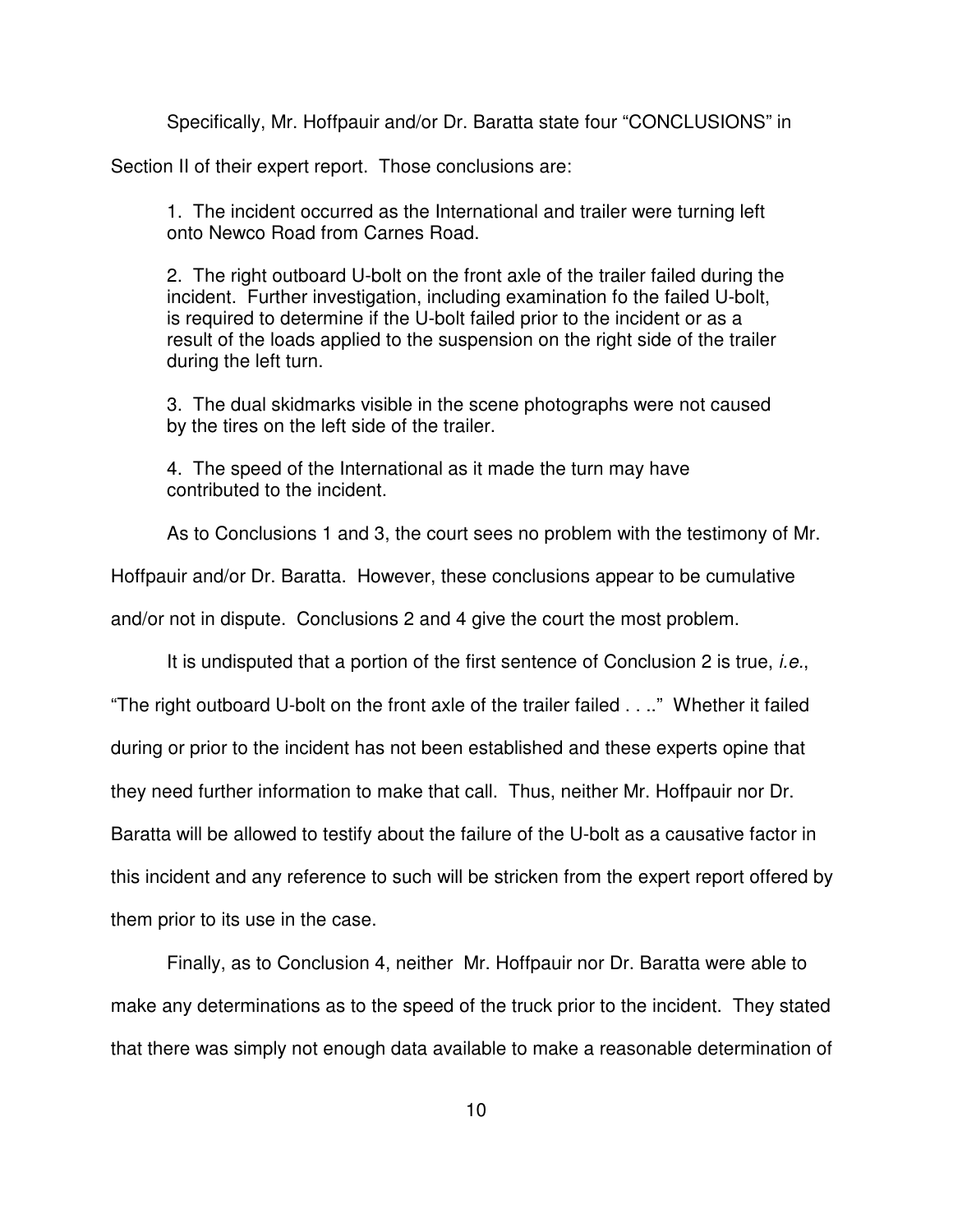Specifically, Mr. Hoffpauir and/or Dr. Baratta state four "CONCLUSIONS" in

Section II of their expert report. Those conclusions are:

1. The incident occurred as the International and trailer were turning left onto Newco Road from Carnes Road.

2. The right outboard U-bolt on the front axle of the trailer failed during the incident. Further investigation, including examination fo the failed U-bolt, is required to determine if the U-bolt failed prior to the incident or as a result of the loads applied to the suspension on the right side of the trailer during the left turn.

3. The dual skidmarks visible in the scene photographs were not caused by the tires on the left side of the trailer.

4. The speed of the International as it made the turn may have contributed to the incident.

As to Conclusions 1 and 3, the court sees no problem with the testimony of Mr.

Hoffpauir and/or Dr. Baratta. However, these conclusions appear to be cumulative

and/or not in dispute. Conclusions 2 and 4 give the court the most problem.

It is undisputed that a portion of the first sentence of Conclusion 2 is true, *i.e.*,

"The right outboard U-bolt on the front axle of the trailer failed . . .." Whether it failed

during or prior to the incident has not been established and these experts opine that

they need further information to make that call. Thus, neither Mr. Hoffpauir nor Dr.

Baratta will be allowed to testify about the failure of the U-bolt as a causative factor in

this incident and any reference to such will be stricken from the expert report offered by

them prior to its use in the case.

Finally, as to Conclusion 4, neither Mr. Hoffpauir nor Dr. Baratta were able to make any determinations as to the speed of the truck prior to the incident. They stated that there was simply not enough data available to make a reasonable determination of